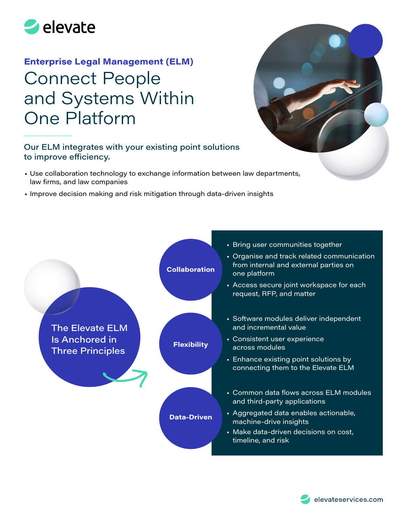

# **Enterprise Legal Management (ELM)**  Connect People and Systems Within One Platform

### Our ELM integrates with your existing point solutions to improve efficiency.

- Use collaboration technology to exchange information between law departments, law firms, and law companies
- Improve decision making and risk mitigation through data-driven insights



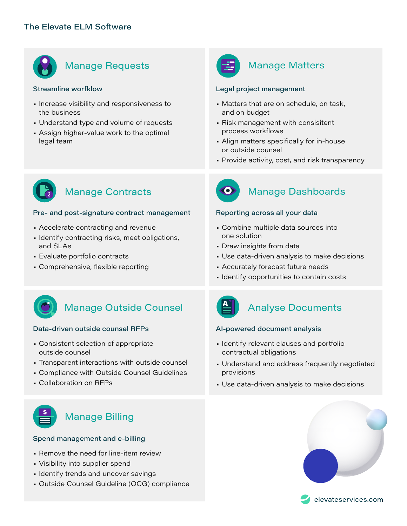

# Manage Requests **Manage Matters**

### Streamline worfklow

- Increase visibility and responsiveness to the business
- Understand type and volume of requests
- Assign higher-value work to the optimal legal team



### Legal project management

- Matters that are on schedule, on task, and on budget
- Risk management with consisitent process workflows
- Align matters specifically for in-house or outside counsel
- Provide activity, cost, and risk transparency



### Pre- and post-signature contract management

- Accelerate contracting and revenue
- Identify contracting risks, meet obligations, and SLAs
- Evaluate portfolio contracts
- Comprehensive, flexible reporting



# Manage Contracts **Contracts** Manage Dashboards

### Reporting across all your data

- Combine multiple data sources into one solution
- Draw insights from data
- Use data-driven analysis to make decisions
- Accurately forecast future needs
- Identify opportunities to contain costs



# Manage Outside Counsel **Analyse Documents**

### Data-driven outside counsel RFPs

- Consistent selection of appropriate outside counsel
- Transparent interactions with outside counsel
- Compliance with Outside Counsel Guidelines
- Collaboration on RFPs



### AI-powered document analysis

- Identify relevant clauses and portfolio contractual obligations
- Understand and address frequently negotiated provisions
- Use data-driven analysis to make decisions



## Manage Billing

### Spend management and e-billing

- Remove the need for line-item review
- Visibility into supplier spend
- Identify trends and uncover savings
- Outside Counsel Guideline (OCG) compliance





elevateservices.com